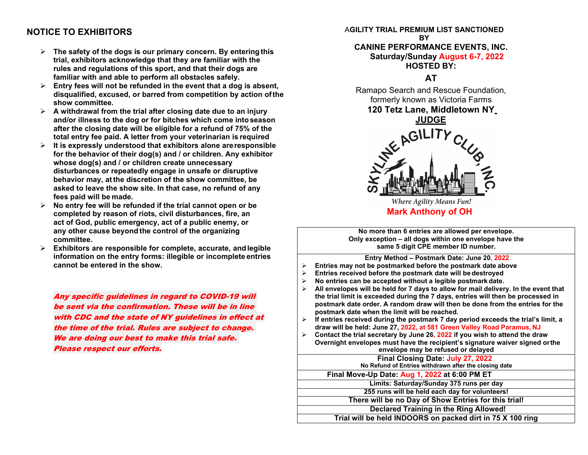## **NOTICE TO EXHIBITORS**

- **The safety of the dogs is our primary concern. By enteringthis trial, exhibitors acknowledge that they are familiar with the rules and regulations of this sport, and that their dogs are familiar with and able to perform all obstacles safely.**
- **Entry fees will not be refunded in the event that a dog is absent, disqualified, excused, or barred from competition by action ofthe show committee.**
- **A withdrawal from the trial after closing date due to an injury and/or illness to the dog or for bitches which come intoseason after the closing date will be eligible for a refund of 75% of the total entry fee paid. A letter from your veterinarian is required**
- **It is expressly understood that exhibitors alone areresponsible for the behavior of their dog(s) and / or children. Any exhibitor whose dog(s) and / or children create unnecessary disturbances or repeatedly engage in unsafe or disruptive behavior may, atthe discretion of the show committee, be asked to leave the show site. In that case, no refund of any fees paid will be made.**
- **No entry fee will be refunded if the trial cannot open or be completed by reason of riots, civil disturbances, fire, an act of God, public emergency, act of a public enemy, or any other cause beyond the control of the organizing committee.**
- **Exhibitors are responsible for complete, accurate, and legible information on the entry forms: illegible or incomplete entries cannot be entered in the show.**

Any specific guidelines in regard to COVID-19 will be sent via the confirmation. These will be in line with CDC and the state of NY guidelines in effect at the time of the trial. Rules are subject to change. We are doing our best to make this trial safe. Please respect our efforts.

#### A**GILITY TRIAL PREMIUM LIST SANCTIONED BY**

#### **CANINE PERFORMANCE EVENTS, INC. Saturday/Sunday August 6-7, 2022 HOSTED BY:**

**AT**

Ramapo Search and Rescue Foundation, formerly known as Victoria Farms **120 Tetz Lane, Middletown NY**



**Where Agility Means Fun! Mark Anthony of OH**

**No more than 6 entries are allowed per envelope. Only exception – all dogs within one envelope have the same 5 digit CPE member ID number.**

**Entry Method – Postmark Date: June 20, 2022**

- **Entries may not be postmarked before the postmark date above**
- **Entries received before the postmark date will be destroyed**
- **No entries can be accepted without a legible postmark date.**
- **All envelopes will be held for 7 days to allow for mail delivery. In the event that the trial limit is exceeded during the 7 days, entries will then be processed in postmark date order. A random draw will then be done from the entries for the postmark date when the limit will be reached.**
- $\triangleright$  If entries received during the postmark 7 day period exceeds the trial's limit, a **draw will be held: June 27, 2022, at 581 Green Valley Road Paramus, NJ**
- **Contact the trial secretary by June 26, 2022 if you wish to attend the draw Overnight envelopes must have the recipient's signature waiver signed orthe**

**Final Closing Date: July 27, 2022 envelope may be refused or delayed**

**No Refund of Entries withdrawn after the closing date**

**Limits: Saturday/Sunday 375 runs per day Final Move-Up Date: Aug 1, 2022 at 6:00 PM ET**

**255 runs will be held each day for volunteers!**

**There will be no Day of Show Entries for this trial!**

**Declared Training in the Ring Allowed!**

**Trial will be held INDOORS on packed dirt in 75 X 100 ring**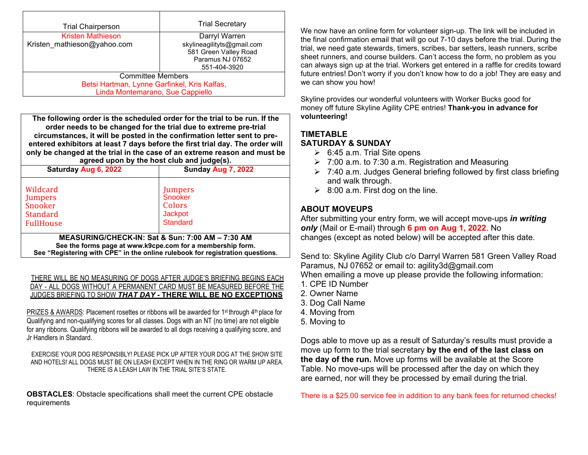| <b>Trial Chairperson</b>                     | <b>Trial Secretary</b>                                                                  |  |  |
|----------------------------------------------|-----------------------------------------------------------------------------------------|--|--|
| <b>Kristen Mathieson</b>                     | Darryl Warren                                                                           |  |  |
| Kristen mathieson@yahoo.com                  | skylineagilityts@gmail.com<br>581 Green Valley Road<br>Paramus NJ 07652<br>551-404-3920 |  |  |
| <b>Committee Members</b>                     |                                                                                         |  |  |
| Betsi Hartman, Lynne Garfinkel, Kris Kalfas, |                                                                                         |  |  |
| Linda Montemarano, Sue Cappiello             |                                                                                         |  |  |

**The following order is the scheduled order for the trial to be run. If the order needs to be changed for the trial due to extreme pre-trial circumstances, it will be posted in the confirmation letter sent to preentered exhibitors at least 7 days before the first trial day. The order will only be changed at the trial in the case of an extreme reason and must be agreed upon by the host club and judge(s).**

| Saturday Aug 6, 2022                                                                                                                                                                            | Sunday Aug 7, 2022                                                       |  |  |  |  |
|-------------------------------------------------------------------------------------------------------------------------------------------------------------------------------------------------|--------------------------------------------------------------------------|--|--|--|--|
| Wildcard<br><b>Jumpers</b><br>Snooker<br><b>Standard</b><br><b>FullHouse</b>                                                                                                                    | Jumpers<br>Snooker<br><b>Colors</b><br><b>Jackpot</b><br><b>Standard</b> |  |  |  |  |
| MEASURING/CHECK-IN: Sat & Sun: 7:00 AM - 7:30 AM<br>See the forms page at www.k9cpe.com for a membership form.<br>See "Registering with CPE" in the online rulebook for registration questions. |                                                                          |  |  |  |  |

THERE WILL BE NO MEASURING OF DOGS AFTER JUDGE'S BRIEFING BEGINS EACH DAY - ALL DOGS WITHOUT A PERMANENT CARD MUST BE MEASURED BEFORE THE JUDGES BRIEFING TO SHOW *THAT DAY -* **THERE WILL BE NO EXCEPTIONS**

PRIZES & AWARDS: Placement rosettes or ribbons will be awarded for 1<sup>st</sup> through 4<sup>th</sup> place for Qualifying and non-qualifying scores for all classes. Dogs with an NT (no time) are not eligible for any ribbons. Qualifying ribbons will be awarded to all dogs receiving a qualifying score, and Jr Handlers in Standard.

EXERCISE YOUR DOG RESPONSIBLY! PLEASE PICK UP AFTER YOUR DOG AT THE SHOW SITE AND HOTELS! ALL DOGS MUST BE ON LEASH EXCEPT WHEN IN THE RING OR WARM UP AREA. THERE IS A LEASH LAW IN THE TRIAL SITE'S STATE.

**OBSTACLES**: Obstacle specifications shall meet the current CPE obstacle requirements

We now have an online form for volunteer sign-up. The link will be included in the final confirmation email that will go out 7-10 days before the trial. During the trial, we need gate stewards, timers, scribes, bar setters, leash runners, scribe sheet runners, and course builders. Can't access the form, no problem as you can always sign up at the trial. Workers get entered in a raffle for credits toward future entries! Don't worry if you don't know how to do a job! They are easy and we can show you how!

Skyline provides our wonderful volunteers with Worker Bucks good for money off future Skyline Agility CPE entries! **Thank-you in advance for volunteering!**

# **TIMETABLE**

## **SATURDAY & SUNDAY**

- $\geq$  6:45 a.m. Trial Site opens
- $\geq 7:00$  a.m. to 7:30 a.m. Registration and Measuring
- $\geq$  7:40 a.m. Judges General briefing followed by first class briefing and walk through.
- $\geq$  8:00 a.m. First dog on the line.

## **ABOUT MOVEUPS**

After submitting your entry form, we will accept move-ups *in writing only* (Mail or E-mail) through **6 pm on Aug 1, 2022**. No changes (except as noted below) will be accepted after this date.

Send to: Skyline Agility Club c/o Darryl Warren 581 Green Valley Road Paramus, NJ 07652 or email to: agility3d@gmail.com When emailing a move up please provide the following information:

- 1. CPE ID Number
- 2. Owner Name
- 3. Dog Call Name
- 4. Moving from
- 5. Moving to

Dogs able to move up as a result of Saturday's results must provide a move up form to the trial secretary **by the end of the last class on the day of the run.** Move up forms will be available at the Score Table. No move-ups will be processed after the day on which they are earned, nor will they be processed by email during the trial.

There is a \$25.00 service fee in addition to any bank fees for returned checks!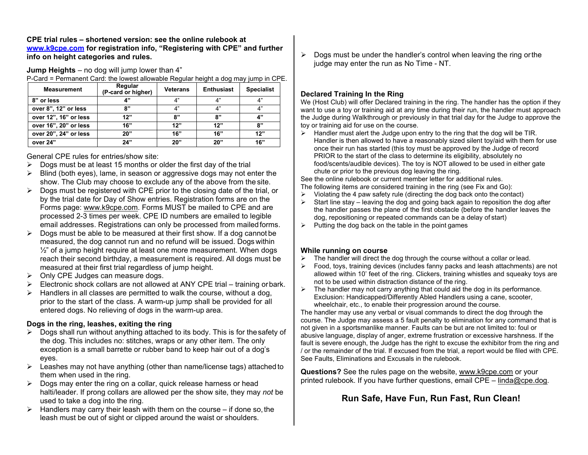**CPE trial rules – shortened version: see the online rulebook at www.k9cpe.com for registration info, "Registering with CPE" and further info on height categories and rules.** 

**Jump Heights** – no dog will jump lower than 4"

P-Card = Permanent Card: the lowest allowable Regular height a dog may jump in CPE.

| <b>Measurement</b>    | Regular<br>(P-card or higher) | <b>Veterans</b> | <b>Enthusiast</b> | <b>Specialist</b> |
|-----------------------|-------------------------------|-----------------|-------------------|-------------------|
| 8" or less            | A"                            | 4"              | 4"                | 4"                |
| over 8", 12" or less  | "ג                            | 4"              | 4"                | 4"                |
| over 12", 16" or less | 12"                           | 8"              | 8"                | 4"                |
| over 16", 20" or less | 16"                           | 12"             | 12"               | 8"                |
| over 20", 24" or less | 20"                           | 16"             | 16"               | 12"               |
| over 24"              | 24"                           | 20"             | 20"               | 16"               |

General CPE rules for entries/show site:

- $\triangleright$  Dogs must be at least 15 months or older the first day of the trial
- $\triangleright$  Blind (both eyes), lame, in season or aggressive dogs may not enter the show. The Club may choose to exclude any of the above from the site.
- $\triangleright$  Dogs must be registered with CPE prior to the closing date of the trial, or by the trial date for Day of Show entries. Registration forms are on the Forms page: www.k9cpe.com. Forms MUST be mailed to CPE and are processed 2-3 times per week. CPE ID numbers are emailed to legible email addresses. Registrations can only be processed from mailed forms.
- $\triangleright$  Dogs must be able to be measured at their first show. If a dog cannot be measured, the dog cannot run and no refund will be issued. Dogs within  $\frac{1}{2}$ " of a jump height require at least one more measurement. When dogs reach their second birthday, a measurement is required. All dogs must be measured at their first trial regardless of jump height.
- $\triangleright$  Only CPE Judges can measure dogs.
- $\triangleright$  Electronic shock collars are not allowed at ANY CPE trial training or bark.
- $\triangleright$  Handlers in all classes are permitted to walk the course, without a dog, prior to the start of the class. A warm-up jump shall be provided for all entered dogs. No relieving of dogs in the warm-up area.

#### **Dogs in the ring, leashes, exiting the ring**

- $\triangleright$  Dogs shall run without anything attached to its body. This is for the safety of the dog. This includes no: stitches, wraps or any other item. The only exception is a small barrette or rubber band to keep hair out of a dog's eyes.
- $\triangleright$  Leashes may not have anything (other than name/license tags) attached to them when used in the ring.
- $\triangleright$  Dogs may enter the ring on a collar, quick release harness or head halti/leader. If prong collars are allowed per the show site, they may *not* be used to take a dog into the ring.
- $\triangleright$  Handlers may carry their leash with them on the course if done so, the leash must be out of sight or clipped around the waist or shoulders.

 $\triangleright$  Dogs must be under the handler's control when leaving the ring or the judge may enter the run as No Time - NT.

## **Declared Training In the Ring**

We (Host Club) will offer Declared training in the ring. The handler has the option if they want to use a toy or training aid at any time during their run, the handler must approach the Judge during Walkthrough or previously in that trial day for the Judge to approve the toy or training aid for use on the course.

 $\triangleright$  Handler must alert the Judge upon entry to the ring that the dog will be TIR. Handler is then allowed to have a reasonably sized silent toy/aid with them for use once their run has started (this toy must be approved by the Judge of record PRIOR to the start of the class to determine its eligibility, absolutely no food/scents/audible devices). The toy is NOT allowed to be used in either gate chute or prior to the previous dog leaving the ring.

See the online rulebook or current member letter for additional rules.

- The following items *are* considered training in the ring (see Fix and Go):
- $\triangleright$  Violating the 4 paw safety rule (directing the dog back onto the contact)
- $\triangleright$  Start line stay leaving the dog and going back again to reposition the dog after the handler passes the plane of the first obstacle (before the handler leaves the dog, repositioning or repeated commands can be a delay of start)
- $\triangleright$  Putting the dog back on the table in the point games

## **While running on course**

- $\triangleright$  The handler will direct the dog through the course without a collar or lead.
- Food, toys, training devices (includes fanny packs and leash attachments) are not allowed within 10' feet of the ring. Clickers, training whistles and squeaky toys are not to be used within distraction distance of the ring.
- $\triangleright$  The handler may not carry anything that could aid the dog in its performance. Exclusion: Handicapped/Differently Abled Handlers using a cane, scooter, wheelchair, etc., to enable their progression around the course.

The handler may use any verbal or visual commands to direct the dog through the course. The Judge may assess a 5 fault penalty to elimination for any command that is not given in a sportsmanlike manner. Faults can be but are not limited to: foul or abusive language, display of anger, extreme frustration or excessive harshness. If the fault is severe enough, the Judge has the right to excuse the exhibitor from the ring and / or the remainder of the trial. If excused from the trial, a report would be filed with CPE. See Faults, Eliminations and Excusals in the rulebook.

**Questions?** See the rules page on the website, www.k9cpe.com or your printed rulebook. If you have further questions, email CPE – linda@cpe.dog.

## **Run Safe, Have Fun, Run Fast, Run Clean!**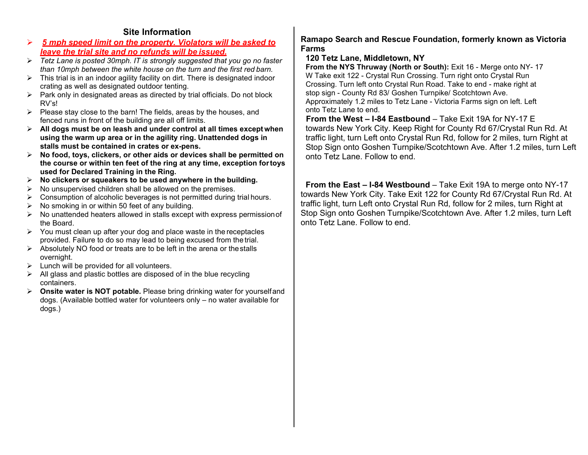## **Site Information**

- *5 mph speed limit on the property. Violators will be asked to leave the trial site and no refunds will be issued.*
- *Tetz Lane is posted 30mph. IT is strongly suggested that you go no faster than 10mph between the white house on the turn and the first red barn.*
- $\triangleright$  This trial is in an indoor agility facility on dirt. There is designated indoor crating as well as designated outdoor tenting.
- $\triangleright$  Park only in designated areas as directed by trial officials. Do not block RV's!
- $\triangleright$  Please stay close to the barn! The fields, areas by the houses, and fenced runs in front of the building are all off limits.
- **All dogs must be on leash and under control at all times exceptwhen using the warm up area or in the agility ring. Unattended dogs in stalls must be contained in crates or ex-pens.**
- **No food, toys, clickers, or other aids or devices shall be permitted on the course or within ten feet of the ring at any time, exception fortoys used for Declared Training in the Ring.**
- **No clickers or squeakers to be used anywhere in the building.**
- $\triangleright$  No unsupervised children shall be allowed on the premises.
- $\triangleright$  Consumption of alcoholic beverages is not permitted during trial hours.
- $\triangleright$  No smoking in or within 50 feet of any building.
- $\triangleright$  No unattended heaters allowed in stalls except with express permission of the Board.
- $\triangleright$  You must clean up after your dog and place waste in the receptacles provided. Failure to do so may lead to being excused from the trial.
- $\triangleright$  Absolutely NO food or treats are to be left in the arena or the stalls overnight.
- $\triangleright$  Lunch will be provided for all volunteers.
- $\triangleright$  All glass and plastic bottles are disposed of in the blue recycling containers.
- **Onsite water is NOT potable.** Please bring drinking water for yourselfand dogs. (Available bottled water for volunteers only – no water available for dogs.)

## **Ramapo Search and Rescue Foundation, formerly known as Victoria Farms**

## **120 Tetz Lane, Middletown, NY**

**From the NYS Thruway (North or South):** Exit 16 - Merge onto NY- 17 W Take exit 122 - Crystal Run Crossing. Turn right onto Crystal Run Crossing. Turn left onto Crystal Run Road. Take to end - make right at stop sign - County Rd 83/ Goshen Turnpike/ Scotchtown Ave. Approximately 1.2 miles to Tetz Lane - Victoria Farms sign on left. Left onto Tetz Lane to end.

**From the West – I-84 Eastbound** – Take Exit 19A for NY-17 E towards New York City. Keep Right for County Rd 67/Crystal Run Rd. At traffic light, turn Left onto Crystal Run Rd, follow for 2 miles, turn Right at Stop Sign onto Goshen Turnpike/Scotchtown Ave. After 1.2 miles, turn Left onto Tetz Lane. Follow to end.

**From the East – I-84 Westbound** – Take Exit 19A to merge onto NY-17 towards New York City. Take Exit 122 for County Rd 67/Crystal Run Rd. At traffic light, turn Left onto Crystal Run Rd, follow for 2 miles, turn Right at Stop Sign onto Goshen Turnpike/Scotchtown Ave. After 1.2 miles, turn Left onto Tetz Lane. Follow to end.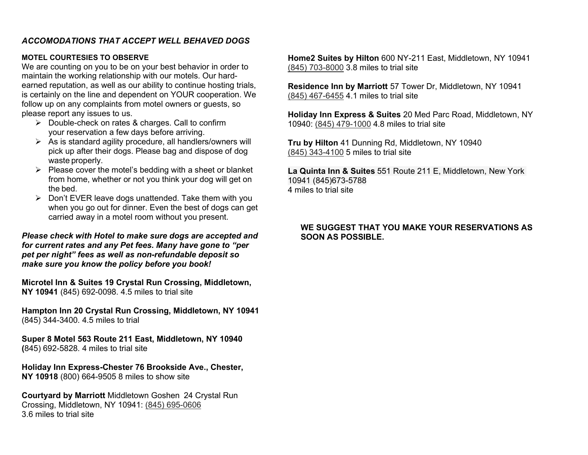## *ACCOMODATIONS THAT ACCEPT WELL BEHAVED DOGS*

#### **MOTEL COURTESIES TO OBSERVE**

We are counting on you to be on your best behavior in order to maintain the working relationship with our motels. Our hardearned reputation, as well as our ability to continue hosting trials, is certainly on the line and dependent on YOUR cooperation. We follow up on any complaints from motel owners or guests, so please report any issues to us.

- $\triangleright$  Double-check on rates & charges. Call to confirm your reservation a few days before arriving.
- $\triangleright$  As is standard agility procedure, all handlers/owners will pick up after their dogs. Please bag and dispose of dog waste properly.
- $\triangleright$  Please cover the motel's bedding with a sheet or blanket from home, whether or not you think your dog will get on the bed.
- $\triangleright$  Don't EVER leave dogs unattended. Take them with you when you go out for dinner. Even the best of dogs can get carried away in a motel room without you present.

*Please check with Hotel to make sure dogs are accepted and for current rates and any Pet fees. Many have gone to "per pet per night" fees as well as non-refundable deposit so make sure you know the policy before you book!* 

**Microtel Inn & Suites 19 Crystal Run Crossing, Middletown, NY 10941** (845) 692-0098. 4.5 miles to trial site

**Hampton Inn 20 Crystal Run Crossing, Middletown, NY 10941** (845) 344-3400. 4.5 miles to trial

**Super 8 Motel 563 Route 211 East, Middletown, NY 10940 (**845) 692-5828. 4 miles to trial site

**Holiday Inn Express-Chester 76 Brookside Ave., Chester, NY 10918** (800) 664-9505 8 miles to show site

**Courtyard by Marriott** Middletown Goshen 24 Crystal Run Crossing, Middletown, NY 10941: (845) 695-0606 3.6 miles to trial site

**Home2 Suites by Hilton** 600 NY-211 East, Middletown, NY 10941 (845) 703-8000 3.8 miles to trial site

**Residence Inn by Marriott** 57 Tower Dr, Middletown, NY 10941 (845) 467-6455 4.1 miles to trial site

**Holiday Inn Express & Suites** 20 Med Parc Road, Middletown, NY 10940: (845) 479-1000 4.8 miles to trial site

**Tru by Hilton** 41 Dunning Rd, Middletown, NY 10940 (845) 343-4100 5 miles to trial site

**La Quinta Inn & Suites** 551 Route 211 E, Middletown, New York 10941 (845)673-5788 4 miles to trial site

#### **WE SUGGEST THAT YOU MAKE YOUR RESERVATIONS AS SOON AS POSSIBLE.**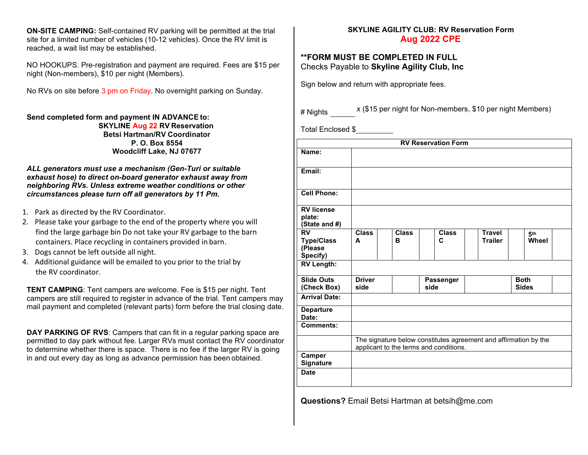**ON-SITE CAMPING:** Self-contained RV parking will be permitted at the trial site for a limited number of vehicles (10-12 vehicles). Once the RV limit is reached, a wait list may be established.

NO HOOKUPS. Pre-registration and payment are required. Fees are \$15 per night (Non-members), \$10 per night (Members).

No RVs on site before 3 pm on Friday. No overnight parking on Sunday.

**Send completed form and payment IN ADVANCE to: SKYLINE Aug 22 RV Reservation Betsi Hartman/RV Coordinator P. O. Box 8554 Woodcliff Lake, NJ 07677**

#### *ALL generators must use a mechanism (Gen-Turi or suitable exhaust hose) to direct on-board generator exhaust away from neighboring RVs. Unless extreme weather conditions or other circumstances please turn off all generators by 11 Pm.*

- 1. Park as directed by the RV Coordinator.
- 2. Please take your garbage to the end of the property where you will find the large garbage bin Do not take your RV garbage to the barn containers. Place recycling in containers provided in barn.
- 3. Dogs cannot be left outside all night.
- 4. Additional guidance will be emailed to you prior to the trial by the RV coordinator.

**TENT CAMPING**: Tent campers are welcome. Fee is \$15 per night. Tent campers are still required to register in advance of the trial. Tent campers may mail payment and completed (relevant parts) form before the trial closing date.

**DAY PARKING OF RVS**: Campers that can fit in a regular parking space are permitted to day park without fee. Larger RVs must contact the RV coordinator to determine whether there is space. There is no fee if the larger RV is going in and out every day as long as advance permission has been obtained.

#### **SKYLINE AGILITY CLUB: RV Reservation Form Aug 2022 CPE**

#### **\*\*FORM MUST BE COMPLETED IN FULL** Checks Payable to **Skyline Agility Club, Inc**

Sign below and return with appropriate fees.

# Nights x (\$15 per night for Non-members, \$10 per night Members)

Total Enclosed \$

| <b>RV Reservation Form</b>                            |                                                                                                            |                   |                   |                                 |                             |
|-------------------------------------------------------|------------------------------------------------------------------------------------------------------------|-------------------|-------------------|---------------------------------|-----------------------------|
| Name:                                                 |                                                                                                            |                   |                   |                                 |                             |
| Email:                                                |                                                                                                            |                   |                   |                                 |                             |
| <b>Cell Phone:</b>                                    |                                                                                                            |                   |                   |                                 |                             |
| <b>RV</b> license<br>plate:<br>(State and #)          |                                                                                                            |                   |                   |                                 |                             |
| <b>RV</b><br><b>Type/Class</b><br>(Please<br>Specify) | <b>Class</b><br>A                                                                                          | <b>Class</b><br>в | <b>Class</b><br>C | <b>Travel</b><br><b>Trailer</b> | 5 <sup>th</sup><br>Wheel    |
| <b>RV Length:</b>                                     |                                                                                                            |                   |                   |                                 |                             |
| <b>Slide Outs</b><br>(Check Box)                      | <b>Driver</b><br>side                                                                                      |                   | Passenger<br>side |                                 | <b>Both</b><br><b>Sides</b> |
| <b>Arrival Date:</b>                                  |                                                                                                            |                   |                   |                                 |                             |
| <b>Departure</b><br>Date:                             |                                                                                                            |                   |                   |                                 |                             |
| Comments:                                             |                                                                                                            |                   |                   |                                 |                             |
|                                                       | The signature below constitutes agreement and affirmation by the<br>applicant to the terms and conditions. |                   |                   |                                 |                             |
| Camper<br><b>Signature</b>                            |                                                                                                            |                   |                   |                                 |                             |
| <b>Date</b>                                           |                                                                                                            |                   |                   |                                 |                             |

**Questions?** Email Betsi Hartman at betsih@me.com